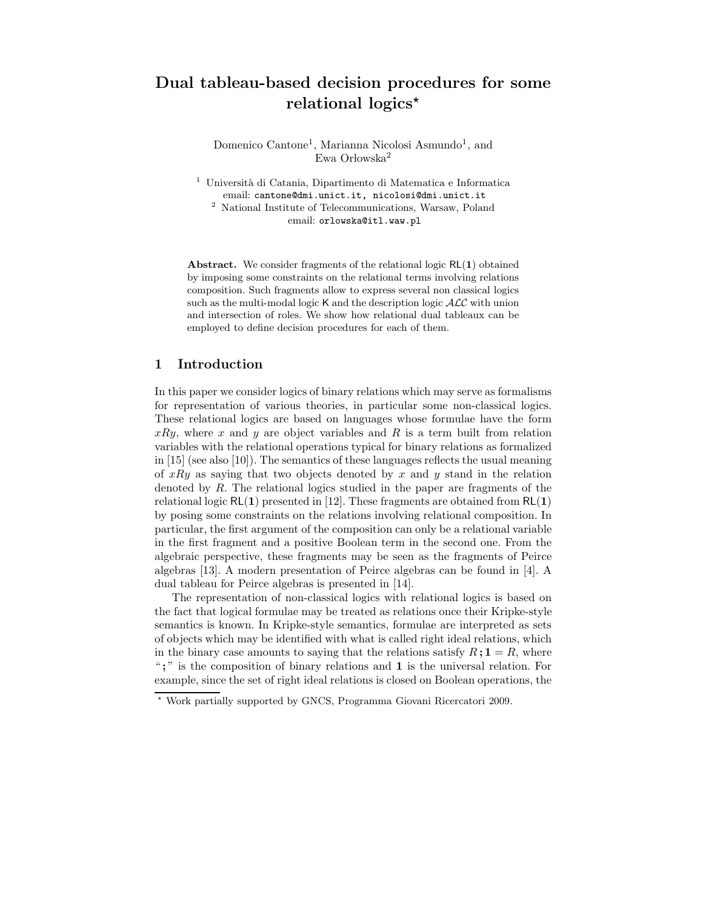# Dual tableau-based decision procedures for some relational logics\*

Domenico Cantone<sup>1</sup>, Marianna Nicolosi Asmundo<sup>1</sup>, and Ewa Orłowska<sup>2</sup>

 $^{\rm 1}$ Università di Catania, Dipartimento di Matematica e Informatica email: cantone@dmi.unict.it, nicolosi@dmi.unict.it  $^{\rm 2}$  National Institute of Telecommunications, Warsaw, Poland email: orlowska@itl.waw.pl

**Abstract.** We consider fragments of the relational logic  $RL(1)$  obtained by imposing some constraints on the relational terms involving relations composition. Such fragments allow to express several non classical logics such as the multi-modal logic  $K$  and the description logic  $\mathcal{ALC}$  with union and intersection of roles. We show how relational dual tableaux can be employed to define decision procedures for each of them.

## 1 Introduction

In this paper we consider logics of binary relations which may serve as formalisms for representation of various theories, in particular some non-classical logics. These relational logics are based on languages whose formulae have the form  $xRy$ , where x and y are object variables and R is a term built from relation variables with the relational operations typical for binary relations as formalized in [15] (see also [10]). The semantics of these languages reflects the usual meaning of  $xRy$  as saying that two objects denoted by x and y stand in the relation denoted by  $R$ . The relational logics studied in the paper are fragments of the relational logic  $RL(1)$  presented in [12]. These fragments are obtained from  $RL(1)$ by posing some constraints on the relations involving relational composition. In particular, the first argument of the composition can only be a relational variable in the first fragment and a positive Boolean term in the second one. From the algebraic perspective, these fragments may be seen as the fragments of Peirce algebras [13]. A modern presentation of Peirce algebras can be found in [4]. A dual tableau for Peirce algebras is presented in [14].

The representation of non-classical logics with relational logics is based on the fact that logical formulae may be treated as relations once their Kripke-style semantics is known. In Kripke-style semantics, formulae are interpreted as sets of objects which may be identified with what is called right ideal relations, which in the binary case amounts to saying that the relations satisfy  $R: \mathbf{1} = R$ , where " ; " is the composition of binary relations and 1 is the universal relation. For example, since the set of right ideal relations is closed on Boolean operations, the

<sup>⋆</sup> Work partially supported by GNCS, Programma Giovani Ricercatori 2009.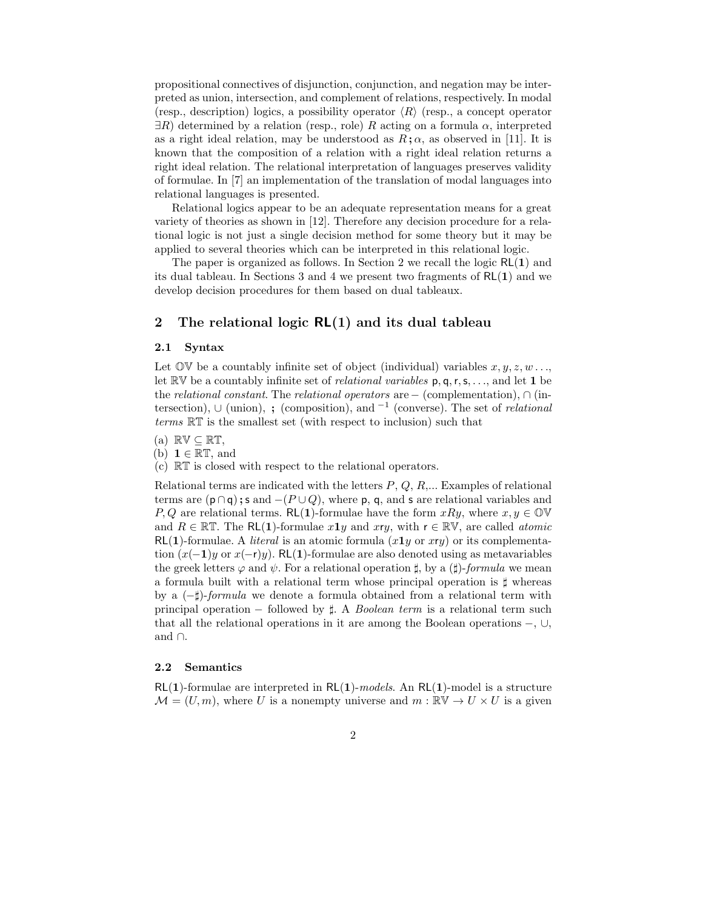propositional connectives of disjunction, conjunction, and negation may be interpreted as union, intersection, and complement of relations, respectively. In modal (resp., description) logics, a possibility operator  $\langle R \rangle$  (resp., a concept operator  $\exists R$ ) determined by a relation (resp., role) R acting on a formula  $\alpha$ , interpreted as a right ideal relation, may be understood as  $R; \alpha$ , as observed in [11]. It is known that the composition of a relation with a right ideal relation returns a right ideal relation. The relational interpretation of languages preserves validity of formulae. In [7] an implementation of the translation of modal languages into relational languages is presented.

Relational logics appear to be an adequate representation means for a great variety of theories as shown in [12]. Therefore any decision procedure for a relational logic is not just a single decision method for some theory but it may be applied to several theories which can be interpreted in this relational logic.

The paper is organized as follows. In Section 2 we recall the logic  $RL(1)$  and its dual tableau. In Sections 3 and 4 we present two fragments of  $RL(1)$  and we develop decision procedures for them based on dual tableaux.

## 2 The relational logic  $RL(1)$  and its dual tableau

#### 2.1 Syntax

Let  $\mathbb{O}V$  be a countably infinite set of object (individual) variables  $x, y, z, w \dots$ let  $\mathbb{R} \mathbb{V}$  be a countably infinite set of *relational variables* p, q, r, s, ..., and let 1 be the relational constant. The relational operators are – (complementation),  $\cap$  (intersection),  $\cup$  (union), ; (composition), and <sup>-1</sup> (converse). The set of *relational* terms RT is the smallest set (with respect to inclusion) such that

- (a)  $\mathbb{RV} \subset \mathbb{RT}$ ,
- (b)  $1 \in \mathbb{RT}$ , and
- (c) RT is closed with respect to the relational operators.

Relational terms are indicated with the letters  $P, Q, R, \ldots$  Examples of relational terms are  $(p \cap q)$ ; s and  $-(P \cup Q)$ , where p, q, and s are relational variables and P, Q are relational terms. RL(1)-formulae have the form  $xRy$ , where  $x, y \in \mathbb{OW}$ and  $R \in \mathbb{RT}$ . The RL(1)-formulae  $x1y$  and  $xy$ , with  $r \in \mathbb{RY}$ , are called *atomic*  $RL(1)$ -formulae. A *literal* is an atomic formula  $(x1y)$  or xry) or its complementation  $(x(-1)y$  or  $x(-r)y$ ). RL(1)-formulae are also denoted using as metavariables the greek letters  $\varphi$  and  $\psi$ . For a relational operation  $\sharp$ , by a  $(\sharp)$ -formula we mean a formula built with a relational term whose principal operation is ♯ whereas by a (−♯)-formula we denote a formula obtained from a relational term with principal operation – followed by  $\sharp$ . A *Boolean term* is a relational term such that all the relational operations in it are among the Boolean operations  $-$ ,  $\cup$ , and ∩.

#### 2.2 Semantics

 $RL(1)$ -formulae are interpreted in  $RL(1)$ -models. An  $RL(1)$ -model is a structure  $\mathcal{M} = (U, m)$ , where U is a nonempty universe and  $m : \mathbb{R} \mathbb{V} \to U \times U$  is a given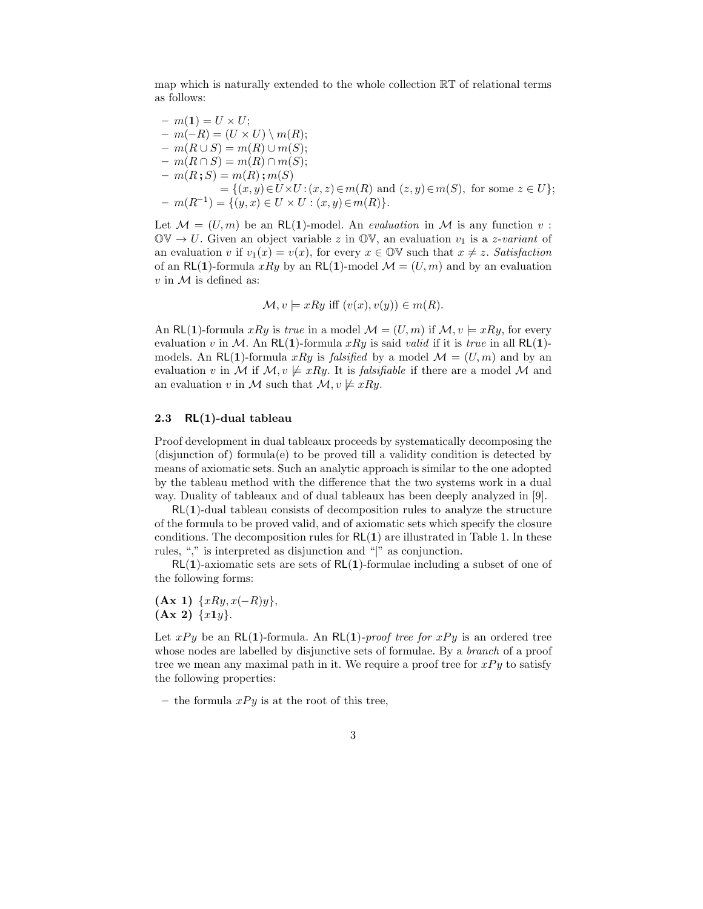map which is naturally extended to the whole collection RT of relational terms as follows:

$$
- m(1) = U \times U;
$$
  
\n
$$
- m(-R) = (U \times U) \setminus m(R);
$$
  
\n
$$
- m(R \cup S) = m(R) \cup m(S);
$$
  
\n
$$
- m(R \cap S) = m(R) \cap m(S);
$$
  
\n
$$
- m(R; S) = m(R) ; m(S)
$$
  
\n
$$
= \{(x, y) \in U \times U : (x, z) \in m(R) \text{ and } (z, y) \in m(S), \text{ for some } z \in U\};
$$
  
\n
$$
- m(R^{-1}) = \{(y, x) \in U \times U : (x, y) \in m(R)\}.
$$

Let  $\mathcal{M} = (U, m)$  be an RL(1)-model. An *evaluation* in  $\mathcal{M}$  is any function v:  $\mathbb{O}V \to U$ . Given an object variable z in  $\mathbb{O}V$ , an evaluation  $v_1$  is a z-variant of an evaluation v if  $v_1(x) = v(x)$ , for every  $x \in \mathbb{O}(\nabla)$  such that  $x \neq z$ . Satisfaction of an RL(1)-formula xRy by an RL(1)-model  $\mathcal{M} = (U, m)$  and by an evaluation  $v$  in  $\mathcal M$  is defined as:

$$
\mathcal{M}, v \models xRy \text{ iff } (v(x), v(y)) \in m(R).
$$

An RL(1)-formula xRy is true in a model  $\mathcal{M} = (U, m)$  if  $\mathcal{M}, v \models xRy$ , for every evaluation v in M. An RL(1)-formula xRy is said valid if it is true in all RL(1)models. An RL(1)-formula xRy is falsified by a model  $\mathcal{M} = (U, m)$  and by an evaluation v in M if  $M, v \neq xRy$ . It is *falsifiable* if there are a model M and an evaluation v in M such that  $\mathcal{M}, v \not\models xRy$ .

#### 2.3 RL(1)-dual tableau

Proof development in dual tableaux proceeds by systematically decomposing the (disjunction of) formula(e) to be proved till a validity condition is detected by means of axiomatic sets. Such an analytic approach is similar to the one adopted by the tableau method with the difference that the two systems work in a dual way. Duality of tableaux and of dual tableaux has been deeply analyzed in [9].

RL(1)-dual tableau consists of decomposition rules to analyze the structure of the formula to be proved valid, and of axiomatic sets which specify the closure conditions. The decomposition rules for  $RL(1)$  are illustrated in Table 1. In these rules, "," is interpreted as disjunction and "|" as conjunction.

 $RL(1)$ -axiomatic sets are sets of  $RL(1)$ -formulae including a subset of one of the following forms:

 $(Ax 1) \ \{xRy, x(-R)y\},\$  $(Ax 2) \{x1y\}.$ 

Let  $xPy$  be an RL(1)-formula. An RL(1)-proof tree for  $xPy$  is an ordered tree whose nodes are labelled by disjunctive sets of formulae. By a *branch* of a proof tree we mean any maximal path in it. We require a proof tree for  $xPy$  to satisfy the following properties:

– the formula  $xPy$  is at the root of this tree,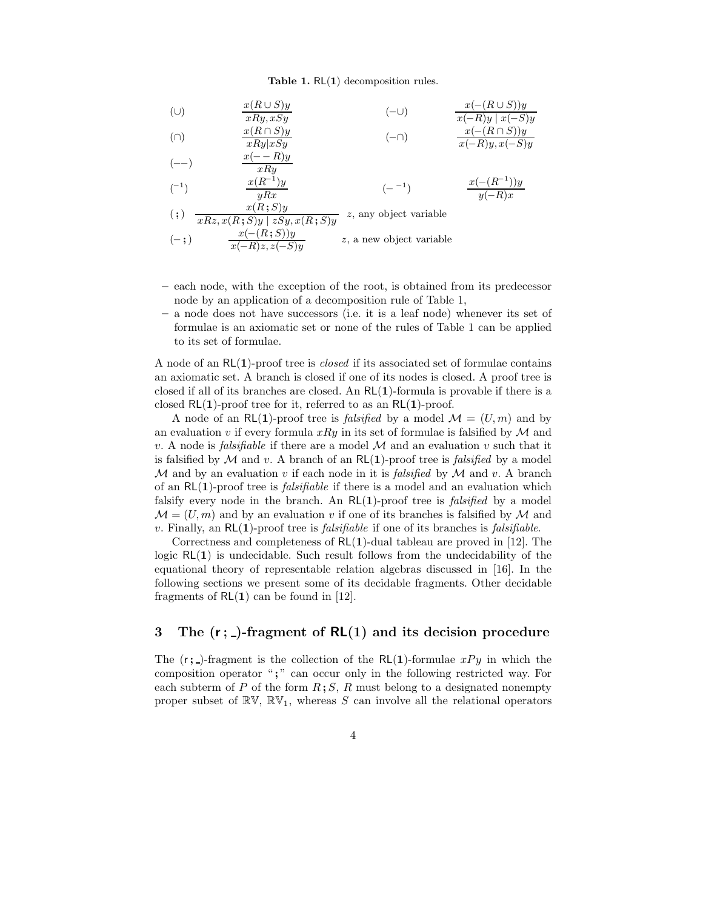#### Table 1.  $RL(1)$  decomposition rules.

$$
\begin{array}{ll}\n\text{(U)} & \frac{x(R \cup S)y}{xRy, xSy} \\
\text{(D)} & \frac{x(R \cap S)y}{xRy \cdot xSy} \\
\text{(E)} & \frac{x(R \cap S)y}{xRy \cdot xSy} \\
\text{(E)} & \frac{x(A \cap S)y}{xRy \cdot xSy} \\
\text{(E)} & \frac{x(A \cap S)y}{x(Ry \cdot x(gy))} \\
\text{(E)} & \frac{x(A \cap S)y}{x(Ry \cdot x(gy))} \\
\text{(E)} & \frac{x(A \cap S)y}{x(Ry \cdot x(gy))} \\
\text{(E)} & \frac{x(A \cap S)y}{x(Ry \cdot x(gy))} \\
\text{(E)} & \frac{x(A \cap S)y}{x(Ry \cdot x(gy))} \\
\text{(E)} & \frac{x(A \cap S)y}{x(Ry \cdot x(gy))} \\
\text{(E)} & \frac{x(A \cap S)y}{x(Ry \cdot x(gy))} \\
\text{(E)} & \frac{x(A \cap S)y}{x(Ry \cdot x(gy))} \\
\text{(E)} & \frac{x(A \cap S)y}{x(Ry \cdot x(gy))} \\
\text{(E)} & \frac{x(A \cap S)y}{x(Ry \cdot x(gy))} \\
\text{(E)} & \frac{x(A \cap S)y}{x(Ry \cdot x(gy))} \\
\text{(E)} & \frac{x(A \cap S)y}{x(Ry \cdot x(gy))} \\
\text{(E)} & \frac{x(A \cap S)y}{x(Ry \cdot x(gy))} \\
\text{(E)} & \frac{x(A \cap S)y}{x(Ry \cdot x(gy))} \\
\text{(E)} & \frac{x(A \cap S)y}{x(Ry \cdot x(gy))} \\
\text{(E)} & \frac{x(A \cap S)y}{x(Ry \cdot x(gy))} \\
\text{(E)} & \frac{x(A \cap S)y}{x(Ry \cdot x(gy))} \\
\text{(E)} & \frac{x(A \cap S)y}{x(Ry \cdot x(gy))} \\
\text{(E)} & \frac{x(A \cap S)y}{x(Ry \cdot x(gy))} \\
\text{(E)} & \frac{x(A \cap S)y}{x(Ry \cdot x(gy))} \\
\text{(E)} & \frac{x(A \cap S)y}{x(Ry \cdot x(gy))} \\
\text{(E)} & \frac{x(A \cap S)y}{x(Ry \cdot x(gy))} \\
\text{(E)} & \frac{x(A \cap S)y}{x(Ry \cdot x(gy))} \\
\text{(E)}
$$

(--)  
\n
$$
\frac{x(-R)y}{xRy}
$$
\n(-1)  
\n
$$
\frac{x(R^{-1})y}{yRx}
$$
\n(-1)  
\n
$$
\frac{x(-R^{-1})y}{y(-R)x}
$$

$$
(\mathfrak{z}) \quad \frac{x(R;S)y}{xRz, x(R;S)y \mid zSy, x(R;S)y} \quad z, \text{ any object variable}
$$
\n
$$
(-\mathfrak{z}) \quad \frac{x(-(R;S))y}{x(-R)z, z(-S)y} \quad z, \text{ a new object variable}
$$

- each node, with the exception of the root, is obtained from its predecessor node by an application of a decomposition rule of Table 1,
- a node does not have successors (i.e. it is a leaf node) whenever its set of formulae is an axiomatic set or none of the rules of Table 1 can be applied to its set of formulae.

A node of an  $\mathsf{RL}(1)$ -proof tree is *closed* if its associated set of formulae contains an axiomatic set. A branch is closed if one of its nodes is closed. A proof tree is closed if all of its branches are closed. An  $RL(1)$ -formula is provable if there is a closed  $RL(1)$ -proof tree for it, referred to as an  $RL(1)$ -proof.

A node of an RL(1)-proof tree is *falsified* by a model  $\mathcal{M} = (U, m)$  and by an evaluation v if every formula  $xRy$  in its set of formulae is falsified by  $\mathcal M$  and v. A node is *falsifiable* if there are a model  $M$  and an evaluation v such that it is falsified by  $M$  and v. A branch of an  $RL(1)$ -proof tree is *falsified* by a model  $M$  and by an evaluation v if each node in it is *falsified* by  $M$  and v. A branch of an  $RL(1)$ -proof tree is *falsifiable* if there is a model and an evaluation which falsify every node in the branch. An  $\mathsf{RL}(1)$ -proof tree is *falsified* by a model  $\mathcal{M} = (U, m)$  and by an evaluation v if one of its branches is falsified by M and v. Finally, an  $RL(1)$ -proof tree is *falsifiable* if one of its branches is *falsifiable*.

Correctness and completeness of  $RL(1)$ -dual tableau are proved in [12]. The logic  $RL(1)$  is undecidable. Such result follows from the undecidability of the equational theory of representable relation algebras discussed in [16]. In the following sections we present some of its decidable fragments. Other decidable fragments of  $RL(1)$  can be found in [12].

# 3 The  $(r; )$ -fragment of  $RL(1)$  and its decision procedure

The  $(r; )$ -fragment is the collection of the RL(1)-formulae  $xPy$  in which the composition operator ";" can occur only in the following restricted way. For each subterm of P of the form  $R$ ; S, R must belong to a designated nonempty proper subset of  $\mathbb{RV}, \mathbb{RV}_1$ , whereas S can involve all the relational operators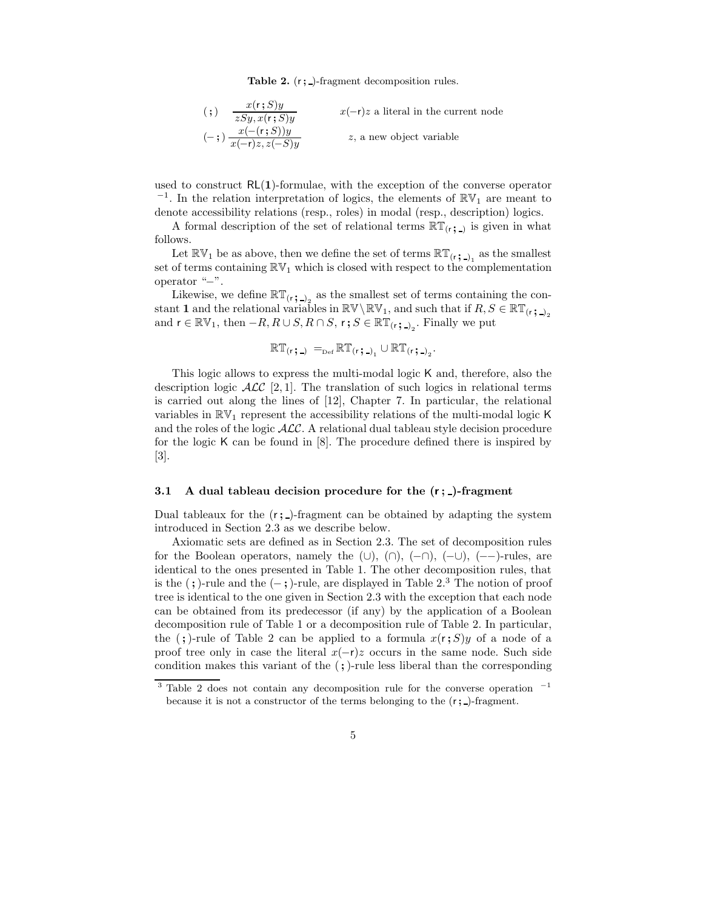Table 2.  $(r; )$ -fragment decomposition rules.

| $\left( ;\right)$ | x(r;S)y<br>zSy, x(r; S)y                | $x(-r)z$ a literal in the current node |
|-------------------|-----------------------------------------|----------------------------------------|
|                   | $(-;)\frac{x(-(r;S))y}{x(-r)z, z(-S)y}$ | z, a new object variable               |

used to construct  $RL(1)$ -formulae, with the exception of the converse operator  $^{-1}$ . In the relation interpretation of logics, the elements of  $\mathbb{RV}_1$  are meant to denote accessibility relations (resp., roles) in modal (resp., description) logics.

A formal description of the set of relational terms  $\mathbb{RT}_{(r; 1)}$  is given in what follows.

Let  $\mathbb{RV}_1$  be as above, then we define the set of terms  $\mathbb{RT}_{(r; 1)_1}$  as the smallest set of terms containing  $\mathbb{RV}_1$  which is closed with respect to the complementation operator "−".

Likewise, we define  $\mathbb{RT}_{(r; -)}$  as the smallest set of terms containing the constant 1 and the relational variables in  $\mathbb{RV}\backslash\mathbb{RV}_1$ , and such that if  $R, S \in \mathbb{RT}_{(r; 2)}$ and  $\mathsf{r} \in \mathbb{RV}_1$ , then  $-R, R \cup S, R \cap S, \mathsf{r}$ ;  $S \in \mathbb{RT}_{(\mathsf{r};-)}$ . Finally we put

$$
\mathbb{RT}_{(r\,\boldsymbol{\mathfrak{z}}\,-\,)}\, =_{\scriptscriptstyle \mathrm{Def}} \mathbb{RT}_{(r\,\boldsymbol{\mathfrak{z}}\,-\,)_1} \cup \mathbb{RT}_{(r\,\boldsymbol{\mathfrak{z}}\,-\,)_2}.
$$

This logic allows to express the multi-modal logic K and, therefore, also the description logic  $\mathcal{ALC}$  [2, 1]. The translation of such logics in relational terms is carried out along the lines of [12], Chapter 7. In particular, the relational variables in  $\mathbb{R}V_1$  represent the accessibility relations of the multi-modal logic K and the roles of the logic ALC. A relational dual tableau style decision procedure for the logic K can be found in [8]. The procedure defined there is inspired by [3].

#### 3.1 A dual tableau decision procedure for the  $(r; )$ -fragment

Dual tableaux for the  $(r; \cdot)$ -fragment can be obtained by adapting the system introduced in Section 2.3 as we describe below.

Axiomatic sets are defined as in Section 2.3. The set of decomposition rules for the Boolean operators, namely the  $(\cup), (\cap), (-\cap), (-\cup), (--)$ -rules, are identical to the ones presented in Table 1. The other decomposition rules, that is the  $($ ;)-rule and the  $($ -;)-rule, are displayed in Table 2.<sup>3</sup> The notion of proof tree is identical to the one given in Section 2.3 with the exception that each node can be obtained from its predecessor (if any) by the application of a Boolean decomposition rule of Table 1 or a decomposition rule of Table 2. In particular, the (;)-rule of Table 2 can be applied to a formula  $x(r;S)y$  of a node of a proof tree only in case the literal  $x(-r)z$  occurs in the same node. Such side condition makes this variant of the (;)-rule less liberal than the corresponding

<sup>&</sup>lt;sup>3</sup> Table 2 does not contain any decomposition rule for the converse operation  $-1$ because it is not a constructor of the terms belonging to the  $(r; )$ -fragment.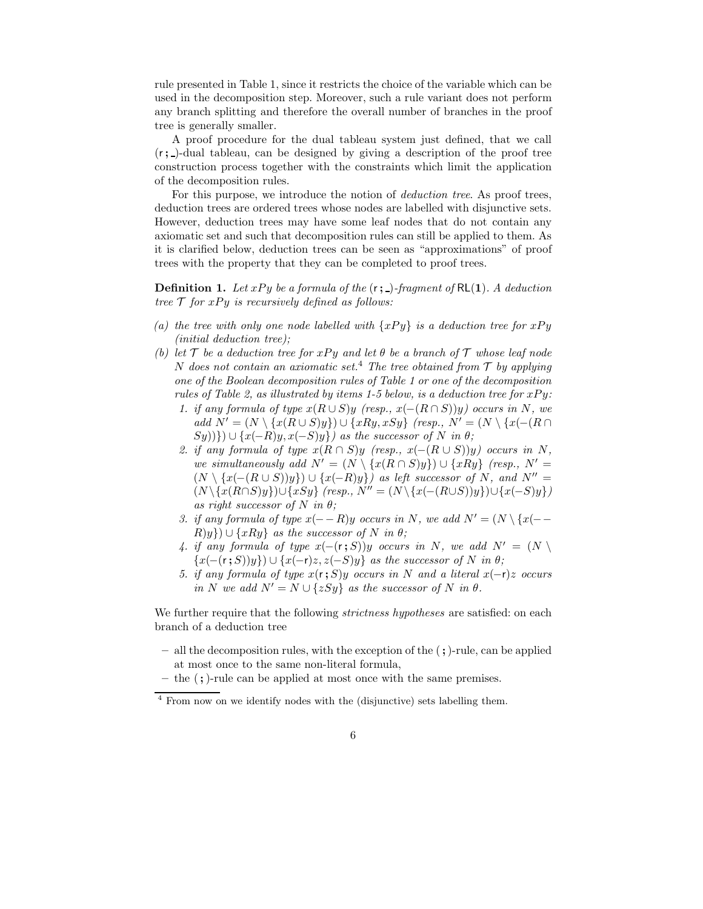rule presented in Table 1, since it restricts the choice of the variable which can be used in the decomposition step. Moreover, such a rule variant does not perform any branch splitting and therefore the overall number of branches in the proof tree is generally smaller.

A proof procedure for the dual tableau system just defined, that we call  $(r; )$ -dual tableau, can be designed by giving a description of the proof tree construction process together with the constraints which limit the application of the decomposition rules.

For this purpose, we introduce the notion of *deduction tree*. As proof trees, deduction trees are ordered trees whose nodes are labelled with disjunctive sets. However, deduction trees may have some leaf nodes that do not contain any axiomatic set and such that decomposition rules can still be applied to them. As it is clarified below, deduction trees can be seen as "approximations" of proof trees with the property that they can be completed to proof trees.

**Definition 1.** Let  $xPy$  be a formula of the  $(r; )$ -fragment of  $RL(1)$ . A deduction tree  $\mathcal T$  for  $xPy$  is recursively defined as follows:

- (a) the tree with only one node labelled with  $\{xPy\}$  is a deduction tree for  $xPy$ (initial deduction tree);
- (b) let T be a deduction tree for xPy and let  $\theta$  be a branch of T whose leaf node N does not contain an axiomatic set.<sup>4</sup> The tree obtained from  $\mathcal T$  by applying one of the Boolean decomposition rules of Table 1 or one of the decomposition rules of Table 2, as illustrated by items 1-5 below, is a deduction tree for  $xPy$ :
	- 1. if any formula of type  $x(R\cup S)y$  (resp.,  $x(-(R\cap S))y$ ) occurs in N, we add  $N' = (N \setminus \{x(R \cup S)y\}) \cup \{xRy, xSy\}$  (resp.,  $N' = (N \setminus \{x(-(R \cap S)y\})\cup \{xRy, xSy\})$  $(Sy)$ }) ∪ { $x(-R)y, x(-S)y$ } as the successor of N in  $\theta$ ;
	- 2. if any formula of type  $x(R \cap S)y$  (resp.,  $x(-(R \cup S))y$ ) occurs in N, we simultaneously add  $N' = (N \setminus \{x(R \cap S)y\}) \cup \{xRy\}$  (resp.,  $N' =$  $(N \setminus \{x(-(R \cup S))y\}) \cup \{x(-R)y\}$  as left successor of N, and  $N'' =$  $(N \setminus \{x(R \cap S)y\}) \cup \{xSy\}$  (resp.,  $N'' = (N \setminus \{x(-(R \cup S))y\}) \cup \{x(-S)y\}$ ) as right successor of N in  $\theta$ ;
	- 3. if any formula of type  $x(--R)y$  occurs in N, we add  $N' = (N \setminus \{x(--R) \cup \}$  $R(y)$ ) ∪ {xRy} as the successor of N in  $\theta$ ;
	- 4. if any formula of type  $x(-(\mathbf{r};S))y$  occurs in N, we add  $N' = (N \setminus S)$  $\{x(-(r ; S))y\}\cup \{x(-r)z, z(-S)y\}$  as the successor of N in  $\theta$ ;
	- 5. if any formula of type  $x(r;S)y$  occurs in N and a literal  $x(-r)z$  occurs in N we add  $N' = N \cup \{zSy\}$  as the successor of N in  $\theta$ .

We further require that the following *strictness hypotheses* are satisfied: on each branch of a deduction tree

- all the decomposition rules, with the exception of the (;)-rule, can be applied at most once to the same non-literal formula,
- $-$  the  $($ ;  $)$ -rule can be applied at most once with the same premises.

<sup>4</sup> From now on we identify nodes with the (disjunctive) sets labelling them.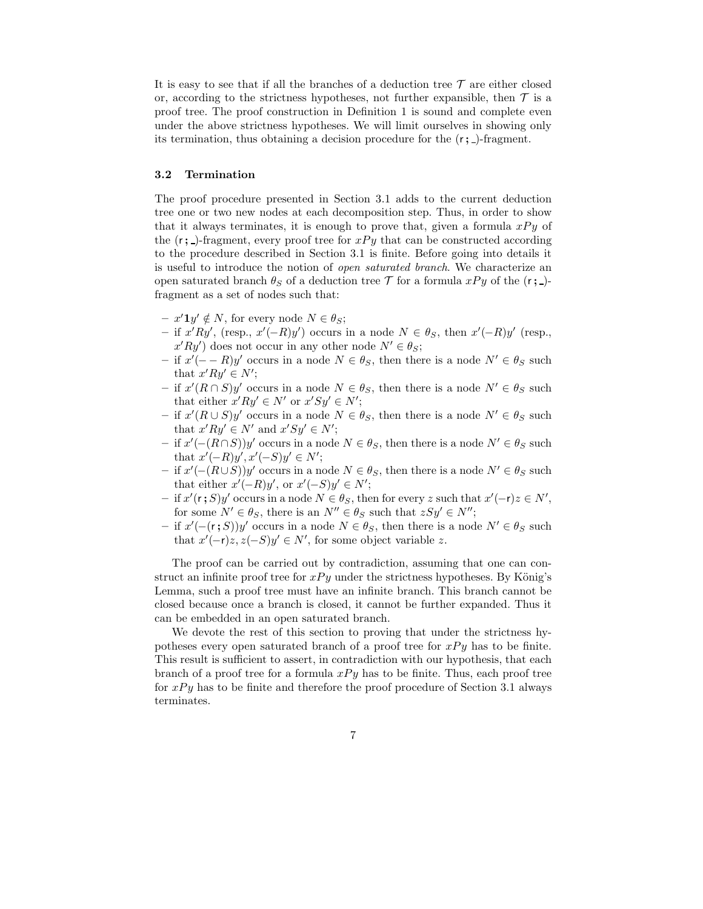It is easy to see that if all the branches of a deduction tree  $\mathcal T$  are either closed or, according to the strictness hypotheses, not further expansible, then  $\mathcal T$  is a proof tree. The proof construction in Definition 1 is sound and complete even under the above strictness hypotheses. We will limit ourselves in showing only its termination, thus obtaining a decision procedure for the  $(r; )$ -fragment.

#### 3.2 Termination

The proof procedure presented in Section 3.1 adds to the current deduction tree one or two new nodes at each decomposition step. Thus, in order to show that it always terminates, it is enough to prove that, given a formula  $xPy$  of the  $(r; \cdot)$ -fragment, every proof tree for  $xPy$  that can be constructed according to the procedure described in Section 3.1 is finite. Before going into details it is useful to introduce the notion of open saturated branch. We characterize an open saturated branch  $\theta_S$  of a deduction tree T for a formula  $xPy$  of the  $(r; )$ fragment as a set of nodes such that:

- $x' \mathbf{1} y' \notin N$ , for every node  $N \in \theta_S$ ;
- − if  $x'Ry'$ , (resp.,  $x'(-R)y'$ ) occurs in a node  $N \in \theta_S$ , then  $x'(-R)y'$  (resp.,  $x'Ry'$  does not occur in any other node  $N' \in \theta_S$ ;
- $-$  if  $x'(- − R)y'$  occurs in a node  $N ∈ θ<sub>S</sub>$ , then there is a node  $N' ∈ θ<sub>S</sub>$  such that  $x'Ry' \in N'$ ;
- − if  $x'(R \cap S)y'$  occurs in a node  $N \in \theta_S$ , then there is a node  $N' \in \theta_S$  such that either  $x'Ry' \in N'$  or  $x'Sy' \in N'$ ;
- $-$  if  $x'(R \cup S)y'$  occurs in a node  $N \in \theta_S$ , then there is a node  $N' \in \theta_S$  such that  $x'Ry' \in N'$  and  $x'Sy' \in N'$ ;
- $-$  if  $x'$ (−( $R∩S$ )) $y'$  occurs in a node  $N ∈ θ<sub>S</sub>$ , then there is a node  $N' ∈ θ<sub>S</sub>$  such that  $x'(-R)y', x'(-S)y' \in N'$ ;
- $-$  if  $x'(-)(R\cup S)$ )y' occurs in a node  $N \in \theta_S$ , then there is a node  $N' \in \theta_S$  such that either  $x'(-R)y'$ , or  $x'(-S)y' \in N'$ ;
- $-$  if x'(r; S)y' occurs in a node  $N \in θ_S$ , then for every z such that  $x'(-r)z ∈ N'$ , for some  $N' \in \theta_S$ , there is an  $N'' \in \theta_S$  such that  $zSy' \in N''$ ;
- $-$  if  $x'$ (−(r; S))y' occurs in a node  $N \in \theta_S$ , then there is a node  $N' \in \theta_S$  such that  $x'(-r)z, z(-S)y' \in N'$ , for some object variable z.

The proof can be carried out by contradiction, assuming that one can construct an infinite proof tree for  $xPy$  under the strictness hypotheses. By König's Lemma, such a proof tree must have an infinite branch. This branch cannot be closed because once a branch is closed, it cannot be further expanded. Thus it can be embedded in an open saturated branch.

We devote the rest of this section to proving that under the strictness hypotheses every open saturated branch of a proof tree for  $xPy$  has to be finite. This result is sufficient to assert, in contradiction with our hypothesis, that each branch of a proof tree for a formula  $xPy$  has to be finite. Thus, each proof tree for  $xPy$  has to be finite and therefore the proof procedure of Section 3.1 always terminates.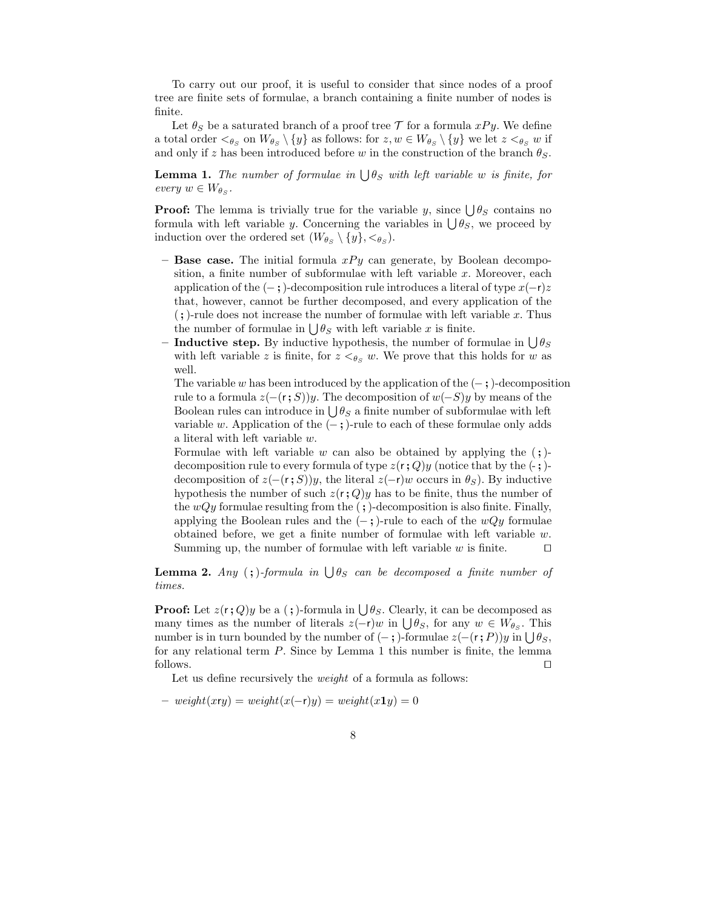To carry out our proof, it is useful to consider that since nodes of a proof tree are finite sets of formulae, a branch containing a finite number of nodes is finite.

Let  $\theta_S$  be a saturated branch of a proof tree  $\mathcal T$  for a formula  $xPy$ . We define a total order  $\langle \theta_s \rangle$  on  $W_{\theta_s} \setminus \{y\}$  as follows: for  $z, w \in W_{\theta_s} \setminus \{y\}$  we let  $z \leq_{\theta_s} w$  if and only if z has been introduced before w in the construction of the branch  $\theta_S$ .

**Lemma 1.** The number of formulae in  $\bigcup \theta_S$  with left variable w is finite, for every  $w \in W_{\theta_S}$ .

**Proof:** The lemma is trivially true for the variable y, since  $\bigcup \theta_S$  contains no formula with left variable y. Concerning the variables in  $\bigcup \theta_s$ , we proceed by induction over the ordered set  $(W_{\theta_S} \setminus \{y\}, \leq_{\theta_S})$ .

- Base case. The initial formula  $xPy$  can generate, by Boolean decomposition, a finite number of subformulae with left variable  $x$ . Moreover, each application of the  $(-; \cdot)$ -decomposition rule introduces a literal of type  $x(-r)z$ that, however, cannot be further decomposed, and every application of the  $($ ;)-rule does not increase the number of formulae with left variable x. Thus the number of formulae in  $\bigcup \theta_S$  with left variable x is finite.
- Inductive step. By inductive hypothesis, the number of formulae in  $\bigcup \theta_S$ with left variable z is finite, for  $z \leq_{\theta_S} w$ . We prove that this holds for w as well.

The variable w has been introduced by the application of the  $(-;)$ -decomposition rule to a formula  $z(-(r; S))y$ . The decomposition of  $w(-S)y$  by means of the Boolean rules can introduce in  $\bigcup \theta_S$  a finite number of subformulae with left variable w. Application of the  $(-;)$ -rule to each of these formulae only adds a literal with left variable w.

Formulae with left variable w can also be obtained by applying the  $($ ; $)$ decomposition rule to every formula of type  $z(r; Q)y$  (notice that by the  $(\text{-})$ ) decomposition of  $z(-(r; S))y$ , the literal  $z(-r)w$  occurs in  $\theta_S$ ). By inductive hypothesis the number of such  $z(r; Q)y$  has to be finite, thus the number of the  $wQy$  formulae resulting from the  $($ ;  $)$ -decomposition is also finite. Finally, applying the Boolean rules and the  $(-;)$ -rule to each of the  $wQy$  formulae obtained before, we get a finite number of formulae with left variable  $w$ . Summing up, the number of formulae with left variable w is finite.  $□$ 

**Lemma 2.** Any (;)-formula in  $\bigcup \theta_S$  can be decomposed a finite number of times.

**Proof:** Let  $z(r; Q)y$  be a (;)-formula in  $\bigcup \theta_S$ . Clearly, it can be decomposed as many times as the number of literals  $z(-r)w$  in  $\bigcup \theta_S$ , for any  $w \in W_{\theta_S}$ . This number is in turn bounded by the number of  $(-;)$ -formulae  $z(-(r; P))y$  in  $\bigcup \theta_S$ , for any relational term P. Since by Lemma 1 this number is finite, the lemma follows. ⊓⊔

Let us define recursively the *weight* of a formula as follows:

 $- weight(xry) = weight(x(-r)y) = weight(x1y) = 0$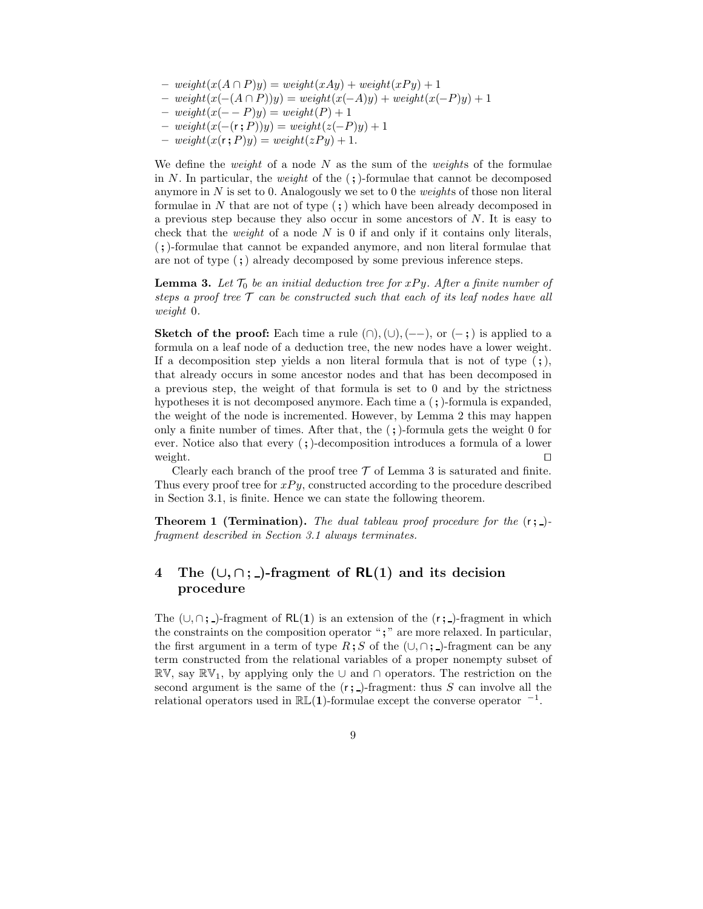- $weight(x(A \cap P)y) = weight(xAy) + weight(xPy) + 1$
- weight(x(−(A ∩ P))y) = weight(x(−A)y) + weight(x(−P)y) + 1
- weight(x(− − P)y) = weight(P) + 1
- weight(x(−(r ; P))y) = weight(z(−P)y) + 1
- $weight(x(r; P)y) = weight(zPy) + 1.$

We define the *weight* of a node  $N$  as the sum of the *weights* of the formulae in N. In particular, the *weight* of the  $($ ;  $)$ -formulae that cannot be decomposed anymore in  $N$  is set to 0. Analogously we set to 0 the *weights* of those non literal formulae in N that are not of type  $($ ;  $)$  which have been already decomposed in a previous step because they also occur in some ancestors of N. It is easy to check that the *weight* of a node  $N$  is 0 if and only if it contains only literals, (;)-formulae that cannot be expanded anymore, and non literal formulae that are not of type (;) already decomposed by some previous inference steps.

**Lemma 3.** Let  $\mathcal{T}_0$  be an initial deduction tree for xPy. After a finite number of steps a proof tree  $T$  can be constructed such that each of its leaf nodes have all weight 0.

Sketch of the proof: Each time a rule  $(∩), (∪), (--),$  or  $(-;)$  is applied to a formula on a leaf node of a deduction tree, the new nodes have a lower weight. If a decomposition step yields a non literal formula that is not of type  $($ ;), that already occurs in some ancestor nodes and that has been decomposed in a previous step, the weight of that formula is set to 0 and by the strictness hypotheses it is not decomposed anymore. Each time a  $($ ;  $)$ -formula is expanded, the weight of the node is incremented. However, by Lemma 2 this may happen only a finite number of times. After that, the  $($ ;)-formula gets the weight 0 for ever. Notice also that every (;)-decomposition introduces a formula of a lower weight. □

Clearly each branch of the proof tree  $\mathcal T$  of Lemma 3 is saturated and finite. Thus every proof tree for  $xPy$ , constructed according to the procedure described in Section 3.1, is finite. Hence we can state the following theorem.

**Theorem 1 (Termination).** The dual tableau proof procedure for the  $(r; )$ fragment described in Section 3.1 always terminates.

# 4 The  $(\cup, \cap; \underline{\ })$ -fragment of RL(1) and its decision procedure

The  $(\cup, \cap; \underline{\ } )$ -fragment of RL(1) is an extension of the  $(r; \underline{\ } )$ -fragment in which the constraints on the composition operator ";" are more relaxed. In particular, the first argument in a term of type  $R$ ; S of the  $(\cup, \cap; \cdot)$ -fragment can be any term constructed from the relational variables of a proper nonempty subset of  $\mathbb{RV},$  say  $\mathbb{RV}_1$ , by applying only the ∪ and ∩ operators. The restriction on the second argument is the same of the  $(r; )$ -fragment: thus S can involve all the relational operators used in  $\mathbb{RL}(1)$ -formulae except the converse operator  $^{-1}$ .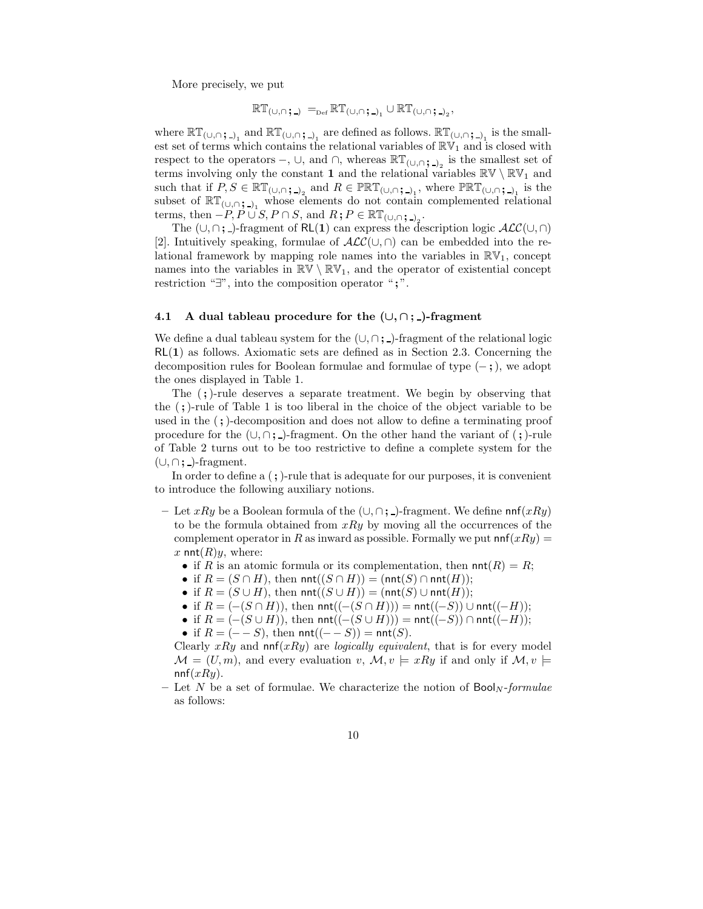More precisely, we put

$$
\mathbb{RT}_{(\cup,\cap\;;\,\_)}\;=_{\scriptscriptstyle{\mathrm{Def}}}\mathbb{RT}_{(\cup,\cap\;;\,\_)}\cup\mathbb{RT}_{(\cup,\cap\;;\,\_)}\,,
$$

where  $\mathbb{RT}_{(\cup,\cap;\square)}$  and  $\mathbb{RT}_{(\cup,\cap;\square)}$  are defined as follows.  $\mathbb{RT}_{(\cup,\cap;\square)}$  is the smallest set of terms which contains the relational variables of  $\mathbb{RV}_1$  and is closed with respect to the operators  $-$ ,  $\cup$ , and  $\cap$ , whereas  $\mathbb{RT}_{(\cup,\cap;\,-)_2}$  is the smallest set of terms involving only the constant 1 and the relational variables  $\mathbb{RV}\setminus\mathbb{RV}_1$  and such that if  $P, S \in \mathbb{RT}_{(\cup, \cap; \square)_{2}}$  and  $R \in \mathbb{PRT}_{(\cup, \cap; \square)_{1}}$ , where  $\mathbb{PRT}_{(\cup, \cap; \square)_{1}}$  is the subset of  $\mathbb{RT}_{(\cup,\cap;\_)_1}$  whose elements do not contain complemented relational terms, then  $-P, P \cup S, P \cap S$ , and  $R; P \in \mathbb{RT}_{(\cup, \cap; \square)_{2}}$ .

The  $(\cup, \cap; \underline{\ })$ -fragment of RL(1) can express the description logic  $\mathcal{ALC}(\cup, \cap)$ [2]. Intuitively speaking, formulae of  $\mathcal{ALC}(\cup,\cap)$  can be embedded into the relational framework by mapping role names into the variables in  $\mathbb{RV}_1$ , concept names into the variables in  $\mathbb{RV} \setminus \mathbb{RV}_1$ , and the operator of existential concept restriction "∃", into the composition operator " $;$ ".

#### 4.1 A dual tableau procedure for the  $(\cup, \cap; \underline{\ })$ -fragment

We define a dual tableau system for the  $(\cup, \cap; \underline{\ } )$ -fragment of the relational logic  $RL(1)$  as follows. Axiomatic sets are defined as in Section 2.3. Concerning the decomposition rules for Boolean formulae and formulae of type  $(-;),$  we adopt the ones displayed in Table 1.

The  $($ ;)-rule deserves a separate treatment. We begin by observing that the (;)-rule of Table 1 is too liberal in the choice of the object variable to be used in the (;)-decomposition and does not allow to define a terminating proof procedure for the  $(\cup, \cap; \underline{\ } )$ -fragment. On the other hand the variant of  $( ; )$ -rule of Table 2 turns out to be too restrictive to define a complete system for the  $(\cup, \cap; \underline{\ } )$ -fragment.

In order to define a  $($ ;  $)$ -rule that is adequate for our purposes, it is convenient to introduce the following auxiliary notions.

- Let xRy be a Boolean formula of the  $(\cup, \cap; \square)$ -fragment. We define nnf $(xRy)$ to be the formula obtained from  $xRy$  by moving all the occurrences of the complement operator in R as inward as possible. Formally we put  $ninf(xRy) =$ x  $nnt(R)y$ , where:
	- if R is an atomic formula or its complementation, then  $nnt(R) = R$ ;
	- if  $R = (S \cap H)$ , then  $\textsf{nnt}((S \cap H)) = (\textsf{nnt}(S) \cap \textsf{nnt}(H));$
	- if  $R = (S \cup H)$ , then  $\textsf{nnt}((S \cup H)) = (\textsf{nnt}(S) \cup \textsf{nnt}(H));$
	- if  $R = (-(S \cap H))$ , then  $\textsf{nnt}((-S \cap H))) = \textsf{nnt}((-S)) \cup \textsf{nnt}((-H));$
	- if  $R = (-(S \cup H))$ , then  $nnt((-S \cup H))) = nnt((-S)) \cap nnt((-H));$
	- if  $R = (− S)$ , then  $nnt((- S)) = nnt(S)$ .

Clearly xRy and  $nnf(xRy)$  are *logically equivalent*, that is for every model  $\mathcal{M} = (U, m)$ , and every evaluation  $v, \mathcal{M}, v \models xRy$  if and only if  $\mathcal{M}, v \models$  $nnf(xRy)$ .

– Let N be a set of formulae. We characterize the notion of  $\text{Bool}_N$ -formulae as follows: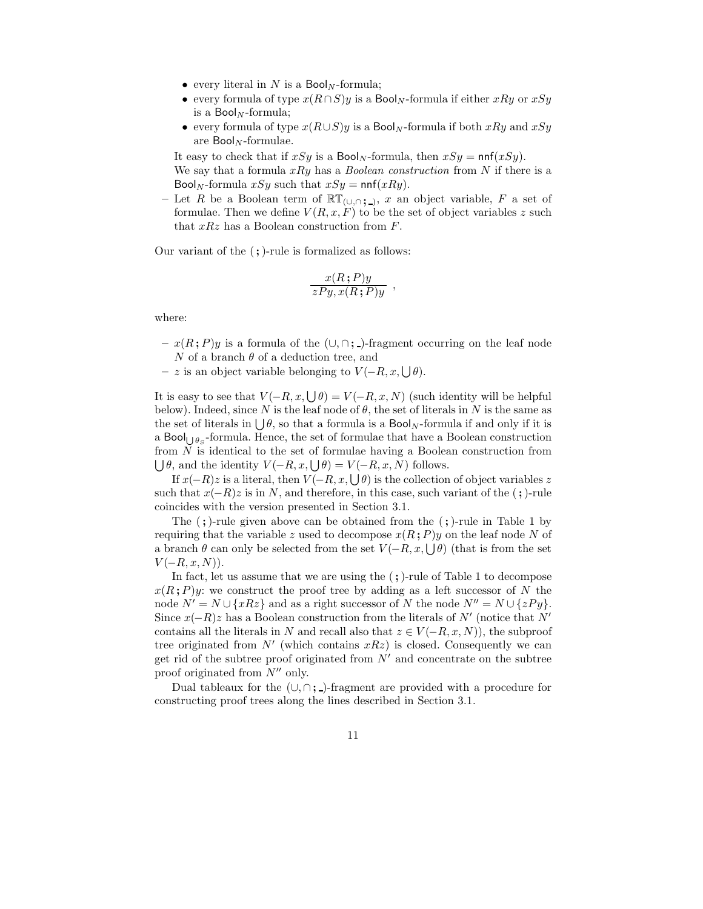- every literal in N is a  $\text{Bool}_N$ -formula;
- every formula of type  $x(R \cap S)y$  is a Bool<sub>N</sub>-formula if either xRy or xSy is a  $\text{Bool}_N$ -formula;
- every formula of type  $x(R\cup S)y$  is a Bool<sub>N</sub>-formula if both  $xRy$  and  $xSy$ are  $\text{Bool}_N$ -formulae.

It easy to check that if  $xSy$  is a Bool<sub>N</sub>-formula, then  $xSy = \text{nnf}(xSy)$ .

We say that a formula  $xRy$  has a *Boolean construction* from N if there is a Bool<sub>N</sub>-formula xSy such that  $xSy = \text{nnf}(xRy)$ .

– Let R be a Boolean term of  $\mathbb{RT}_{(\cup,\cap;\square)}$ , x an object variable, F a set of formulae. Then we define  $V(R, x, F)$  to be the set of object variables z such that  $xRz$  has a Boolean construction from  $F$ .

Our variant of the (;)-rule is formalized as follows:

$$
\frac{x(R;P)y}{zPy, x(R;P)y}
$$

,

where:

- $x(R; P)y$  is a formula of the  $(\cup, \cap; \square)$ -fragment occurring on the leaf node N of a branch  $\theta$  of a deduction tree, and
- $z$  is an object variable belonging to  $V(-R, x, \bigcup \theta)$ .

It is easy to see that  $V(-R, x, \bigcup \theta) = V(-R, x, N)$  (such identity will be helpful below). Indeed, since N is the leaf node of  $\theta$ , the set of literals in N is the same as the set of literals in  $\bigcup \theta$ , so that a formula is a  $\mathsf{Bool}_N$ -formula if and only if it is a Bool<sub>U $\theta_S$ </sub>-formula. Hence, the set of formulae that have a Boolean construction from N is identical to the set of formulae having a Boolean construction from  $\bigcup \theta$ , and the identity  $V(-R, x, \bigcup \theta) = V(-R, x, N)$  follows.

If  $x(-R)z$  is a literal, then  $V(-R, x, \bigcup \theta)$  is the collection of object variables z such that  $x(-R)z$  is in N, and therefore, in this case, such variant of the (;)-rule coincides with the version presented in Section 3.1.

The  $($ ;  $)$ -rule given above can be obtained from the  $($ ;  $)$ -rule in Table 1 by requiring that the variable z used to decompose  $x(R; P)y$  on the leaf node N of a branch  $\theta$  can only be selected from the set  $V(-R, x, \bigcup \theta)$  (that is from the set  $V(-R, x, N)$ ).

In fact, let us assume that we are using the  $($ ;  $)$ -rule of Table 1 to decompose  $x(R; P)y$ : we construct the proof tree by adding as a left successor of N the node  $N' = N \cup \{xRz\}$  and as a right successor of N the node  $N'' = N \cup \{zPy\}$ . Since  $x(-R)z$  has a Boolean construction from the literals of N' (notice that N' contains all the literals in N and recall also that  $z \in V(-R, x, N)$ , the subproof tree originated from  $N'$  (which contains  $xRz$ ) is closed. Consequently we can get rid of the subtree proof originated from  $N'$  and concentrate on the subtree proof originated from  $N''$  only.

Dual tableaux for the  $(\cup, \cap; \underline{\ })$ -fragment are provided with a procedure for constructing proof trees along the lines described in Section 3.1.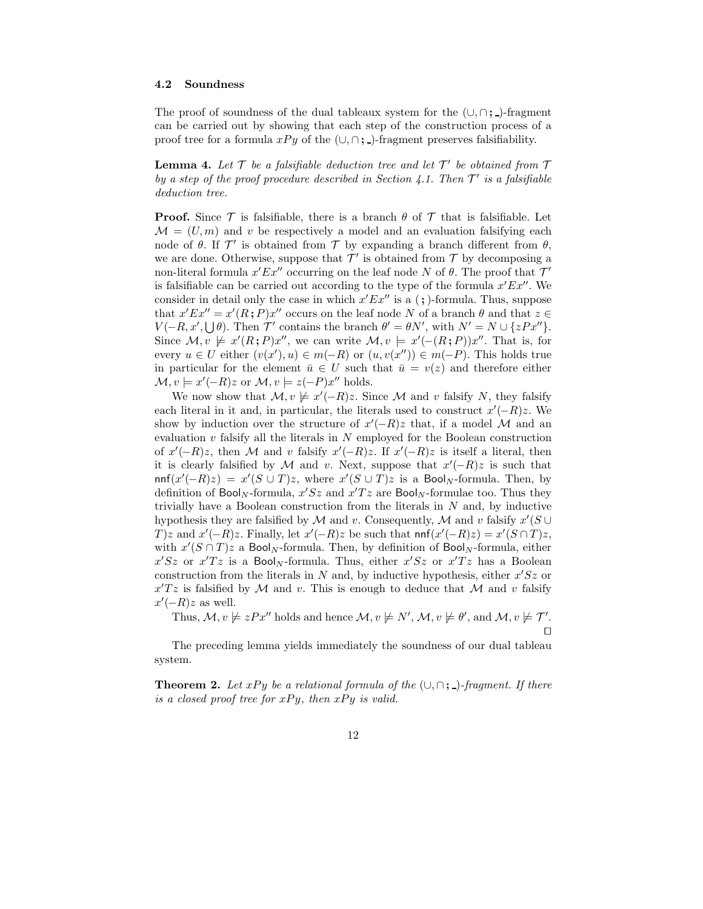#### 4.2 Soundness

The proof of soundness of the dual tableaux system for the  $(\cup, \cap; \cdot)$ -fragment can be carried out by showing that each step of the construction process of a proof tree for a formula  $xPy$  of the  $(\cup, \cap; \square)$ -fragment preserves falsifiability.

**Lemma 4.** Let  $\mathcal T$  be a falsifiable deduction tree and let  $\mathcal T'$  be obtained from  $\mathcal T$ by a step of the proof procedure described in Section 4.1. Then  $\mathcal{T}'$  is a falsifiable deduction tree.

**Proof.** Since  $\mathcal T$  is falsifiable, there is a branch  $\theta$  of  $\mathcal T$  that is falsifiable. Let  $\mathcal{M} = (U, m)$  and v be respectively a model and an evaluation falsifying each node of  $\theta$ . If  $\mathcal{T}'$  is obtained from  $\mathcal T$  by expanding a branch different from  $\theta$ , we are done. Otherwise, suppose that  $\mathcal{T}'$  is obtained from  $\mathcal T$  by decomposing a non-literal formula  $x'Ex''$  occurring on the leaf node N of  $\theta$ . The proof that  $\mathcal{T}'$ is falsifiable can be carried out according to the type of the formula  $x'Ex''$ . We consider in detail only the case in which  $x'Ex''$  is a (;)-formula. Thus, suppose that  $x'Ex'' = x'(R;P)x''$  occurs on the leaf node N of a branch  $\theta$  and that  $z \in$  $V(-R, x', \bigcup \theta)$ . Then  $\mathcal{T}'$  contains the branch  $\theta' = \theta N'$ , with  $N' = N \cup \{zPx''\}$ . Since  $\mathcal{M}, v \not\models x'(R; P)x''$ , we can write  $\mathcal{M}, v \models x'(-(R; P))x''$ . That is, for every  $u \in U$  either  $(v(x'), u) \in m(-R)$  or  $(u, v(x'')) \in m(-P)$ . This holds true in particular for the element  $\bar{u} \in U$  such that  $\bar{u} = v(z)$  and therefore either  $\mathcal{M}, v \models x'(-R)z \text{ or } \mathcal{M}, v \models z(-P)x'' \text{ holds.}$ 

We now show that  $\mathcal{M}, v \not\models x'(-R)z$ . Since  $\mathcal M$  and v falsify N, they falsify each literal in it and, in particular, the literals used to construct  $x'(-R)z$ . We show by induction over the structure of  $x'(-R)z$  that, if a model M and an evaluation  $v$  falsify all the literals in  $N$  employed for the Boolean construction of  $x'(-R)z$ , then M and v falsify  $x'(-R)z$ . If  $x'(-R)z$  is itself a literal, then it is clearly falsified by M and v. Next, suppose that  $x'(-R)z$  is such that  $\text{nnf}(x'(-R)z) = x'(S \cup T)z$ , where  $x'(S \cup T)z$  is a Bool<sub>N</sub>-formula. Then, by definition of  $\text{Bool}_N$ -formula,  $x'Sz$  and  $x'Tz$  are  $\text{Bool}_N$ -formulae too. Thus they trivially have a Boolean construction from the literals in  $N$  and, by inductive hypothesis they are falsified by M and v. Consequently, M and v falsify  $x'(S \cup$  $T[z]$  and  $x'(-R)z$ . Finally, let  $x'(-R)z$  be such that  $nnf(x'(-R)z) = x'(S \cap T)z$ , with  $x'(S \cap T)z$  a Bool<sub>N</sub>-formula. Then, by definition of Bool<sub>N</sub>-formula, either  $x'Sz$  or  $x'Tz$  is a Bool<sub>N</sub>-formula. Thus, either  $x'Sz$  or  $x'Tz$  has a Boolean construction from the literals in  $N$  and, by inductive hypothesis, either  $x'Sz$  or  $x'Tz$  is falsified by M and v. This is enough to deduce that M and v falsify  $x'(-R)z$  as well.

Thus,  $\mathcal{M}, v \not\models zPx''$  holds and hence  $\mathcal{M}, v \not\models N', \mathcal{M}, v \not\models \theta'$ , and  $\mathcal{M}, v \not\models \mathcal{T}'$ . ⊓⊔

The preceding lemma yields immediately the soundness of our dual tableau system.

**Theorem 2.** Let xPy be a relational formula of the  $(\cup, \cap; \cdot)$ -fragment. If there is a closed proof tree for  $xPy$ , then  $xPy$  is valid.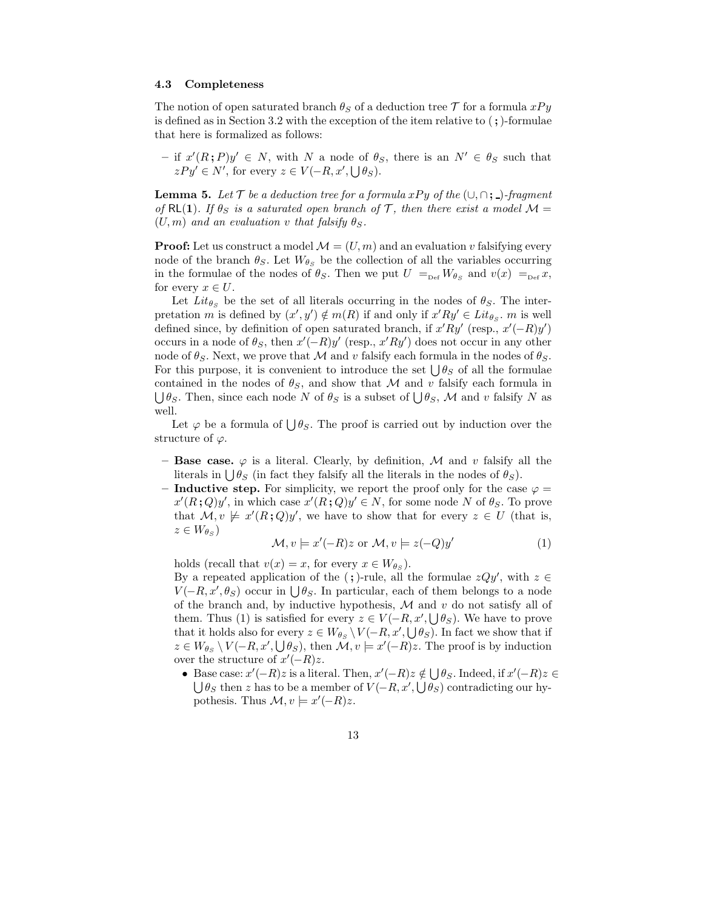#### 4.3 Completeness

The notion of open saturated branch  $\theta_S$  of a deduction tree  $\mathcal T$  for a formula  $xPy$ is defined as in Section 3.2 with the exception of the item relative to  $($ ;  $)$ -formulae that here is formalized as follows:

 $-$  if  $x'(R; P)y'$  ∈ N, with N a node of  $θ_S$ , there is an  $N' ∈ θ_S$  such that  $zPy' \in N'$ , for every  $z \in V(-R, x', \bigcup \theta_S)$ .

**Lemma 5.** Let  $\mathcal{T}$  be a deduction tree for a formula xPy of the  $(\cup, \cap; \cdot)$ -fragment of RL(1). If  $\theta_S$  is a saturated open branch of T, then there exist a model  $\mathcal{M} =$  $(U, m)$  and an evaluation v that falsify  $\theta_S$ .

**Proof:** Let us construct a model  $\mathcal{M} = (U, m)$  and an evaluation v falsifying every node of the branch  $\theta_S$ . Let  $W_{\theta_S}$  be the collection of all the variables occurring in the formulae of the nodes of  $\theta_S$ . Then we put  $U =_{\text{Def}} W_{\theta_S}$  and  $v(x) =_{\text{Def}} x$ , for every  $x \in U$ .

Let  $Lit_{\theta_S}$  be the set of all literals occurring in the nodes of  $\theta_S$ . The interpretation m is defined by  $(x', y') \notin m(R)$  if and only if  $x'Ry' \in Lit_{\theta_S}$ . m is well defined since, by definition of open saturated branch, if  $x'Ry'$  (resp.,  $x'(-R)y'$ ) occurs in a node of  $\theta_S$ , then  $x'(-R)y'$  (resp.,  $x'Ry'$ ) does not occur in any other node of  $\theta_S$ . Next, we prove that M and v falsify each formula in the nodes of  $\theta_S$ . For this purpose, it is convenient to introduce the set  $\bigcup \theta_S$  of all the formulae contained in the nodes of  $\theta_s$ , and show that M and v falsify each formula in  $\bigcup \theta_S$ . Then, since each node N of  $\theta_S$  is a subset of  $\bigcup \theta_S$ , M and v falsify N as well.

Let  $\varphi$  be a formula of  $\bigcup \theta_S$ . The proof is carried out by induction over the structure of  $\varphi$ .

- Base case.  $\varphi$  is a literal. Clearly, by definition, M and v falsify all the literals in  $\bigcup \theta_S$  (in fact they falsify all the literals in the nodes of  $\theta_S$ ).
- Inductive step. For simplicity, we report the proof only for the case  $\varphi =$  $x'(R;Q)y'$ , in which case  $x'(R;Q)y' \in N$ , for some node N of  $\theta_S$ . To prove that  $M, v \not\models x'(R; Q)y'$ , we have to show that for every  $z \in U$  (that is,  $z \in W_{\theta_S}$

$$
\mathcal{M}, v \models x'(-R)z \text{ or } \mathcal{M}, v \models z(-Q)y'
$$
 (1)

holds (recall that  $v(x) = x$ , for every  $x \in W_{\theta_S}$ ).

By a repeated application of the (;)-rule, all the formulae  $zQy'$ , with  $z \in$  $V(-R, x', \theta_S)$  occur in  $\bigcup \theta_S$ . In particular, each of them belongs to a node of the branch and, by inductive hypothesis,  $M$  and  $v$  do not satisfy all of them. Thus (1) is satisfied for every  $z \in V(-R, x', \bigcup \theta_S)$ . We have to prove that it holds also for every  $z \in W_{\theta_S} \setminus V(-R, x', \bigcup \theta_S)$ . In fact we show that if  $z \in W_{\theta_S} \setminus V(-R, x', \bigcup \theta_S)$ , then  $\mathcal{M}, v \models x'(-R)z$ . The proof is by induction over the structure of  $x'(-R)z$ .

• Base case:  $x'(-R)z$  is a literal. Then,  $x'(-R)z \notin \bigcup \theta_S$ . Indeed, if  $x'(-R)z \in$  $\bigcup \theta_S$  then z has to be a member of  $V(-R, x', \bigcup \theta_S)$  contradicting our hypothesis. Thus  $\mathcal{M}, v \models x'(-R)z$ .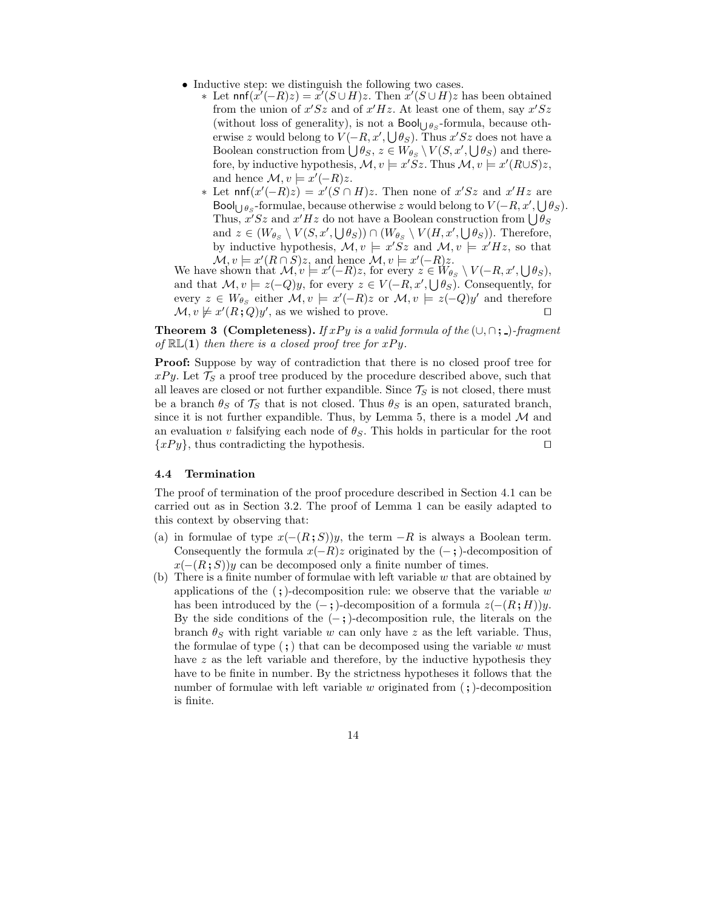- Inductive step: we distinguish the following two cases.
	- \* Let  $ninf(x'(-R)z) = x'(S \cup H)z$ . Then  $x'(S \cup H)z$  has been obtained from the union of  $x'Sz$  and of  $x'Hz$ . At least one of them, say  $x'Sz$ (without loss of generality), is not a  $\text{Bool}_{\bigcup \theta_S}$ -formula, because otherwise z would belong to  $V(-R, x', \bigcup \theta_S)$ . Thus  $x'Sz$  does not have a Boolean construction from  $\bigcup \theta_S$ ,  $z \in W_{\theta_S} \setminus V(S, x', \bigcup \theta_S)$  and therefore, by inductive hypothesis,  $\mathcal{M}, v \models x'Sz$ . Thus  $\mathcal{M}, v \models x'(R \cup S)z$ , and hence  $\mathcal{M}, v \models x'(-R)z$ .
	- \* Let  $\textsf{nnf}(x'(-R)z) = x'(S \cap H)z$ . Then none of  $x'Sz$  and  $x'Hz$  are Bool<sub>U $\theta_s$ </sub>-formulae, because otherwise z would belong to  $V(-R, x', \bigcup \theta_s)$ . Thus,  $x'Sz$  and  $x'Hz$  do not have a Boolean construction from  $\bigcup \theta_S$ and  $z \in (W_{\theta_S} \setminus V(S, x', \bigcup \theta_S)) \cap (W_{\theta_S} \setminus V(H, x', \bigcup \theta_S))$ . Therefore, by inductive hypothesis,  $\mathcal{M}, v \models x'Sz$  and  $\mathcal{M}, v \models x'Hz$ , so that  $\mathcal{M}, v \models x'(R \cap \overline{S})z$ , and hence  $\mathcal{M}, v \models x'(-R)z$ .

We have shown that  $\mathcal{M}, v \models x'(-R)z$ , for every  $z \in W_{\theta_S} \setminus V(-R, x', \bigcup \theta_S)$ , and that  $\mathcal{M}, v \models z(-Q)y$ , for every  $z \in V(-R, x', \bigcup \theta_S)$ . Consequently, for every  $z \in W_{\theta_S}$  either  $\mathcal{M}, v \models x'(-R)z$  or  $\mathcal{M}, v \models z(-Q)y'$  and therefore  $\mathcal{M}, v \not\models x' (R, Q) y',$  as we wished to prove. □

**Theorem 3 (Completeness).** If xPy is a valid formula of the  $(\cup, \cap; \cdot)$ -fragment of  $\mathbb{RL}(1)$  then there is a closed proof tree for  $xPy$ .

Proof: Suppose by way of contradiction that there is no closed proof tree for  $xPy$ . Let  $\mathcal{T}_S$  a proof tree produced by the procedure described above, such that all leaves are closed or not further expandible. Since  $\mathcal{T}_S$  is not closed, there must be a branch  $\theta_S$  of  $\mathcal{T}_S$  that is not closed. Thus  $\theta_S$  is an open, saturated branch, since it is not further expandible. Thus, by Lemma 5, there is a model  $M$  and an evaluation v falsifying each node of  $\theta_S$ . This holds in particular for the root  $\{xPy\}$ , thus contradicting the hypothesis. □

#### 4.4 Termination

The proof of termination of the proof procedure described in Section 4.1 can be carried out as in Section 3.2. The proof of Lemma 1 can be easily adapted to this context by observing that:

- (a) in formulae of type  $x(-(R; S))y$ , the term  $-R$  is always a Boolean term. Consequently the formula  $x(-R)z$  originated by the  $(-;)\text{-decomposition of}$  $x(-(R; S))y$  can be decomposed only a finite number of times.
- (b) There is a finite number of formulae with left variable w that are obtained by applications of the  $($ ;  $)$ -decomposition rule: we observe that the variable w has been introduced by the  $(-;)$ -decomposition of a formula  $z(-(R; H))y$ . By the side conditions of the  $(-;)$ -decomposition rule, the literals on the branch  $\theta_s$  with right variable w can only have z as the left variable. Thus, the formulae of type  $($ ;  $)$  that can be decomposed using the variable w must have z as the left variable and therefore, by the inductive hypothesis they have to be finite in number. By the strictness hypotheses it follows that the number of formulae with left variable w originated from  $($ ;  $)$ -decomposition is finite.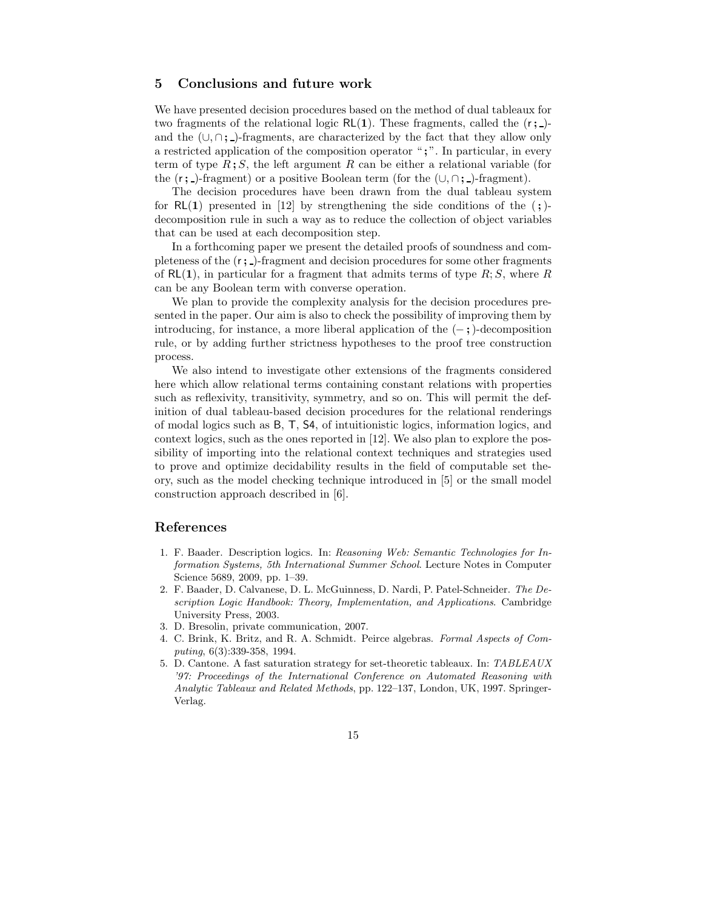### 5 Conclusions and future work

We have presented decision procedures based on the method of dual tableaux for two fragments of the relational logic  $\mathsf{RL}(1)$ . These fragments, called the  $(r; )$ and the  $(\cup, \cap; \cdot)$ -fragments, are characterized by the fact that they allow only a restricted application of the composition operator ";". In particular, in every term of type  $R$ ;  $S$ , the left argument  $R$  can be either a relational variable (for the  $(r; )$ -fragment) or a positive Boolean term (for the  $(\cup, \cap, )$ -fragment).

The decision procedures have been drawn from the dual tableau system for  $R(1)$  presented in [12] by strengthening the side conditions of the (;)decomposition rule in such a way as to reduce the collection of object variables that can be used at each decomposition step.

In a forthcoming paper we present the detailed proofs of soundness and completeness of the  $(r; \cdot)$ -fragment and decision procedures for some other fragments of  $RL(1)$ , in particular for a fragment that admits terms of type  $R; S$ , where R can be any Boolean term with converse operation.

We plan to provide the complexity analysis for the decision procedures presented in the paper. Our aim is also to check the possibility of improving them by introducing, for instance, a more liberal application of the  $(-; \cdot)$ -decomposition rule, or by adding further strictness hypotheses to the proof tree construction process.

We also intend to investigate other extensions of the fragments considered here which allow relational terms containing constant relations with properties such as reflexivity, transitivity, symmetry, and so on. This will permit the definition of dual tableau-based decision procedures for the relational renderings of modal logics such as B, T, S4, of intuitionistic logics, information logics, and context logics, such as the ones reported in [12]. We also plan to explore the possibility of importing into the relational context techniques and strategies used to prove and optimize decidability results in the field of computable set theory, such as the model checking technique introduced in [5] or the small model construction approach described in [6].

# References

- 1. F. Baader. Description logics. In: Reasoning Web: Semantic Technologies for Information Systems, 5th International Summer School. Lecture Notes in Computer Science 5689, 2009, pp. 1–39.
- 2. F. Baader, D. Calvanese, D. L. McGuinness, D. Nardi, P. Patel-Schneider. The Description Logic Handbook: Theory, Implementation, and Applications. Cambridge University Press, 2003.
- 3. D. Bresolin, private communication, 2007.
- 4. C. Brink, K. Britz, and R. A. Schmidt. Peirce algebras. Formal Aspects of Computing, 6(3):339-358, 1994.
- 5. D. Cantone. A fast saturation strategy for set-theoretic tableaux. In: TABLEAUX '97: Proceedings of the International Conference on Automated Reasoning with Analytic Tableaux and Related Methods, pp. 122–137, London, UK, 1997. Springer-Verlag.